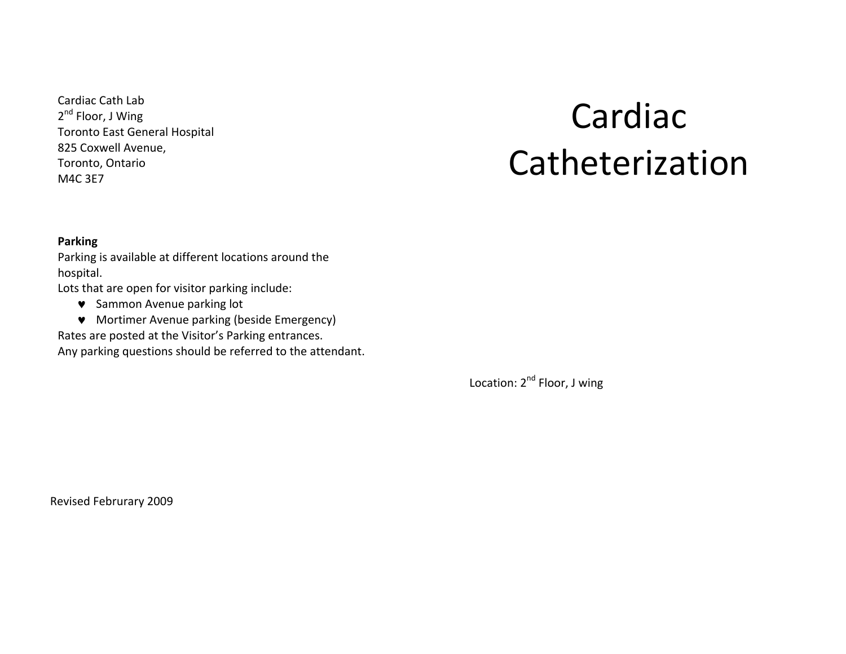Cardiac Cath Lab  $2^{nd}$  Floor, J Wing Toronto East General Hospital 825 Coxwell Avenue, Toronto, Ontario M4C 3E7

# Cardiac Catheterization

#### **Parking**

Parking is available at different locations around the hospital.

Lots that are open for visitor parking include:

- $\bullet$  Sammon Avenue parking lot
- Mortimer Avenue parking (beside Emergency)

Rates are posted at the Visitor's Parking entrances.

Any parking questions should be referred to the attendant.

Location:  $2^{nd}$  Floor, J wing

Revised Februrary 2009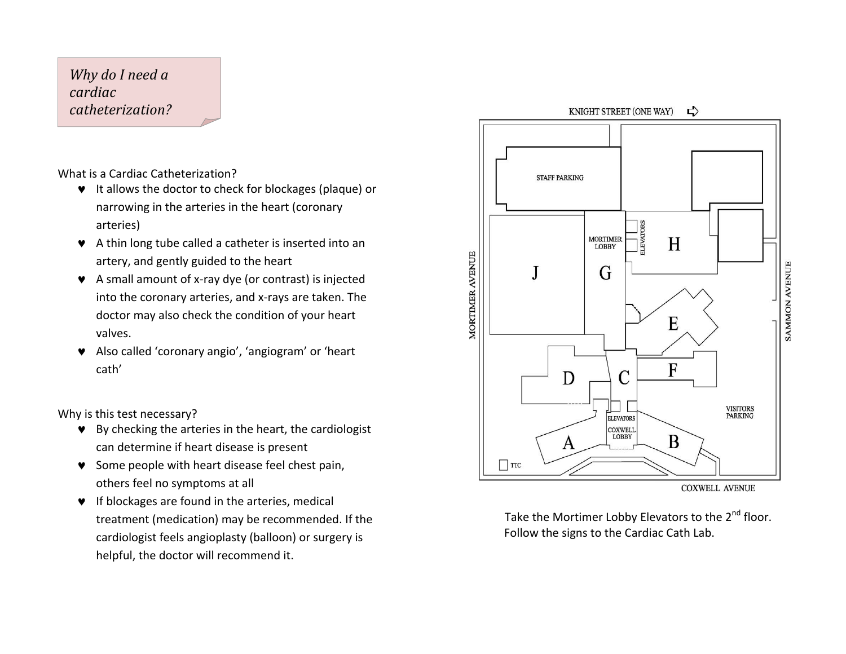Why do I need a *cardiac catheterization?*

What is a Cardiac Catheterization?

- $\bullet$  It allows the doctor to check for blockages (plaque) or narrowing in the arteries in the heart (coronary arteries)
- $\bullet$  A thin long tube called a catheter is inserted into an artery, and gently guided to the heart
- $\bullet$  A small amount of x-ray dye (or contrast) is injected into the coronary arteries, and x-rays are taken. The doctor may also check the condition of your heart valves.
- © Also called 'coronary angio', 'angiogram' or 'heart cath'

Why is this test necessary?

- $\bullet$  By checking the arteries in the heart, the cardiologist can determine if heart disease is present
- Some people with heart disease feel chest pain, others feel no symptoms at all
- $\bullet$  If blockages are found in the arteries, medical treatment (medication) may be recommended. If the cardiologist feels angioplasty (balloon) or surgery is helpful, the doctor will recommend it.



**COXWELL AVENUE** 

Take the Mortimer Lobby Elevators to the  $2^{nd}$  floor. Follow the signs to the Cardiac Cath Lab.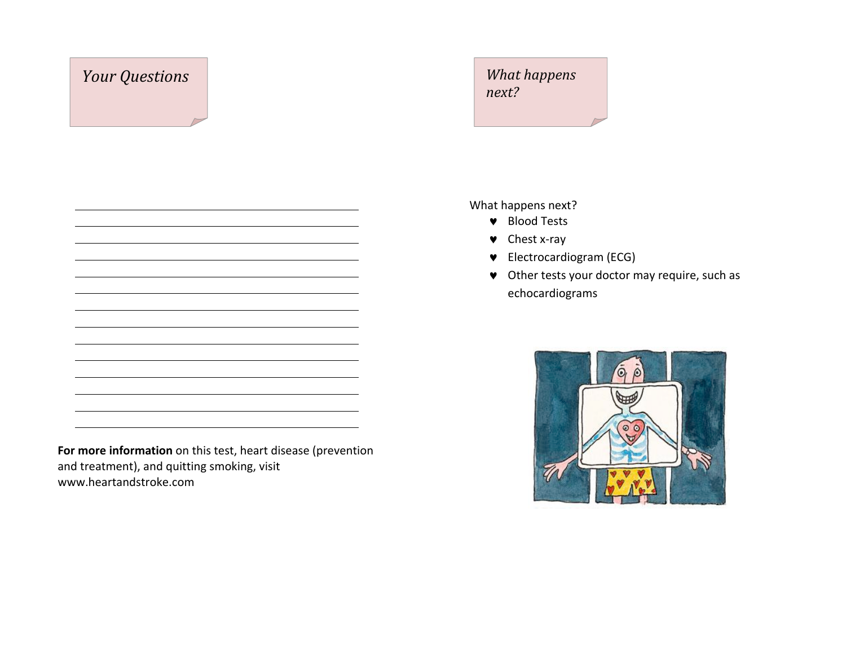### *Your* Questions *What happens next?*

What happens next?

- ◆ Blood Tests
- $\bullet$  Chest x-ray
- © Electrocardiogram (ECG)
- $\bullet$  Other tests your doctor may require, such as echocardiograms



For more information on this test, heart disease (prevention and treatment), and quitting smoking, visit www.heartandstroke.com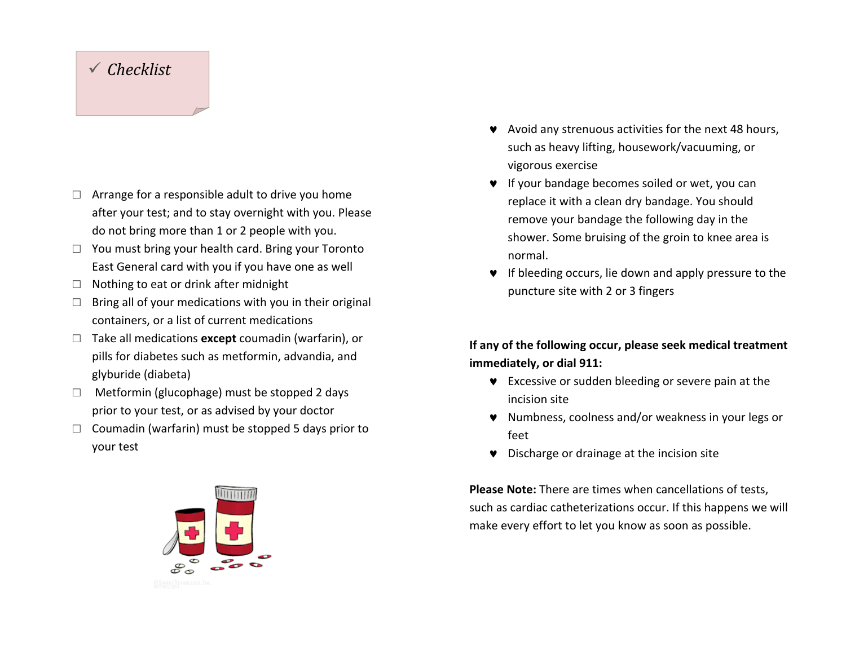#### *Checklist*

- $\Box$  Arrange for a responsible adult to drive you home after your test; and to stay overnight with you. Please do not bring more than 1 or 2 people with you.
- $\Box$  You must bring your health card. Bring your Toronto East General card with you if you have one as well
- $\Box$  Nothing to eat or drink after midnight
- $\Box$  Bring all of your medications with you in their original containers, or a list of current medications
- □ Take all medications **except** coumadin (warfarin), or pills for diabetes such as metformin, advandia, and glyburide (diabeta)
- $\Box$  Metformin (glucophage) must be stopped 2 days prior to your test, or as advised by your doctor
- $\Box$  Coumadin (warfarin) must be stopped 5 days prior to your test



- $\blacktriangleright$  Avoid any strenuous activities for the next 48 hours, such as heavy lifting, housework/vacuuming, or vigorous exercise
- $\bullet$  If your bandage becomes soiled or wet, you can replace it with a clean dry bandage. You should remove your bandage the following day in the shower. Some bruising of the groin to knee area is normal.
- $\bullet$  If bleeding occurs, lie down and apply pressure to the puncture site with 2 or 3 fingers

If any of the following occur, please seek medical treatment **immediately, or dial 911:** 

- $\bullet$  Excessive or sudden bleeding or severe pain at the incision site
- ♥ Numbness, coolness and/or weakness in your legs or feet
- $\bullet$  Discharge or drainage at the incision site

**Please Note:** There are times when cancellations of tests, such as cardiac catheterizations occur. If this happens we will make every effort to let you know as soon as possible.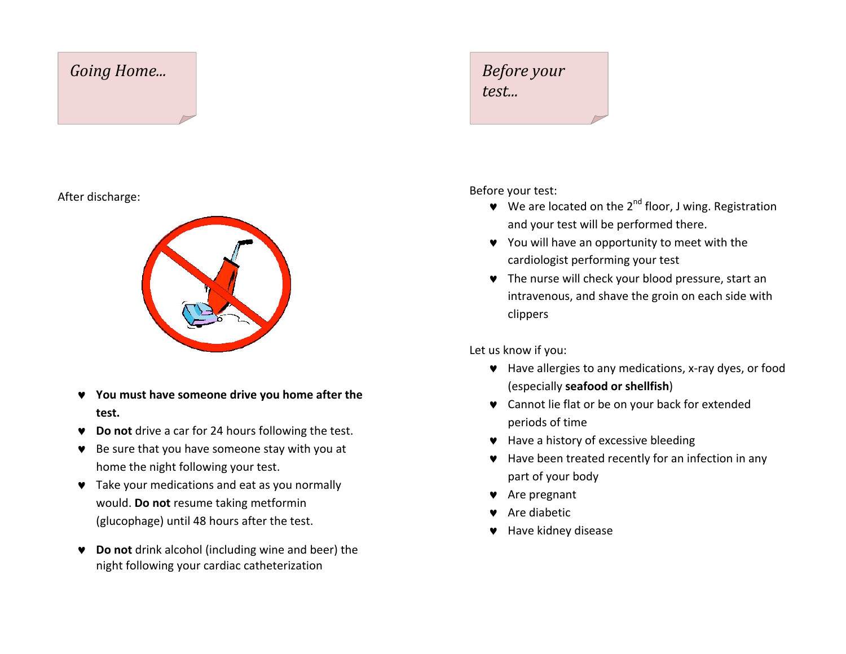#### **Going Home... Before your**

#### After discharge:



- ▼ You must have someone drive you home after the **test.**
- ▼ **Do not** drive a car for 24 hours following the test.
- $\bullet$  Be sure that you have someone stay with you at home the night following your test.
- $\bullet$  Take your medications and eat as you normally would. Do not resume taking metformin (glucophage) until 48 hours after the test.
- ▼ **Do not** drink alcohol (including wine and beer) the night following your cardiac catheterization

# *test...*

Before your test:

- $\blacktriangleright$  We are located on the 2<sup>nd</sup> floor, J wing. Registration and your test will be performed there.
- ♥ You will have an opportunity to meet with the cardiologist performing your test
- $\bullet$  The nurse will check your blood pressure, start an intravenous, and shave the groin on each side with clippers

Let us know if you:

- Have allergies to any medications, x-ray dyes, or food (especially **seafood or shellfish**)
- Cannot lie flat or be on your back for extended periods of time
- $\bullet$  Have a history of excessive bleeding
- $\bullet$  Have been treated recently for an infection in any part of your body
- $\blacktriangleright$  Are pregnant
- $\bullet$  Are diabetic
- $\blacktriangleright$  Have kidney disease